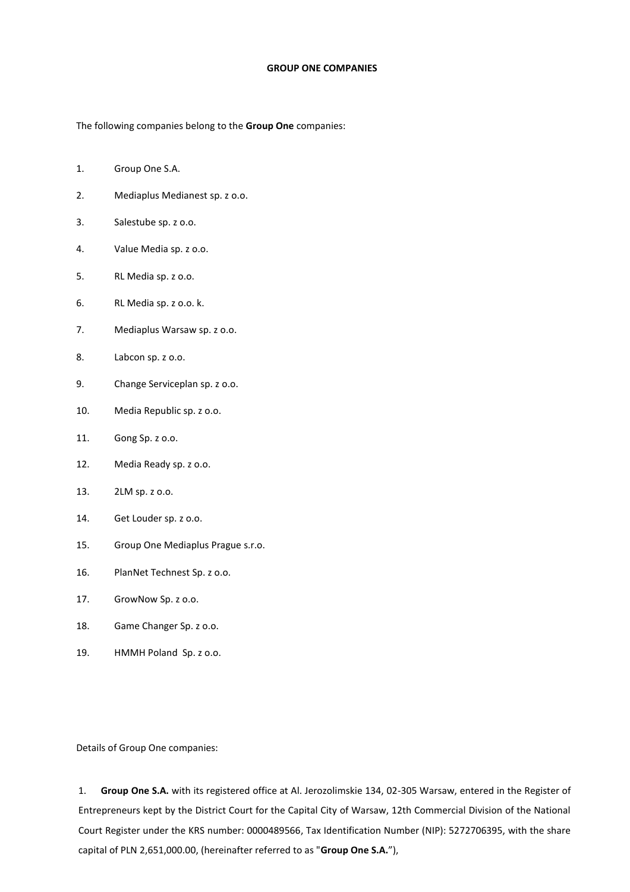## **GROUP ONE COMPANIES**

The following companies belong to the **Group One** companies:

- 1. Group One S.A.
- 2. Mediaplus Medianest sp. z o.o.
- 3. Salestube sp. z o.o.
- 4. Value Media sp. z o.o.
- 5. RL Media sp. z o.o.
- 6. RL Media sp. z o.o. k.
- 7. Mediaplus Warsaw sp. z o.o.
- 8. Labcon sp. z o.o.
- 9. Change Serviceplan sp. z o.o.
- 10. Media Republic sp. z o.o.
- 11. Gong Sp. z o.o.
- 12. Media Ready sp. z o.o.
- 13. 2LM sp. z o.o.
- 14. Get Louder sp. z o.o.
- 15. Group One Mediaplus Prague s.r.o.
- 16. PlanNet Technest Sp. z o.o.
- 17. GrowNow Sp. z o.o.
- 18. Game Changer Sp. z o.o.
- 19. HMMH Poland Sp. z o.o.

Details of Group One companies:

1. **Group One S.A.** with its registered office at Al. Jerozolimskie 134, 02-305 Warsaw, entered in the Register of Entrepreneurs kept by the District Court for the Capital City of Warsaw, 12th Commercial Division of the National Court Register under the KRS number: 0000489566, Tax Identification Number (NIP): 5272706395, with the share capital of PLN 2,651,000.00, (hereinafter referred to as "**Group One S.A.**"),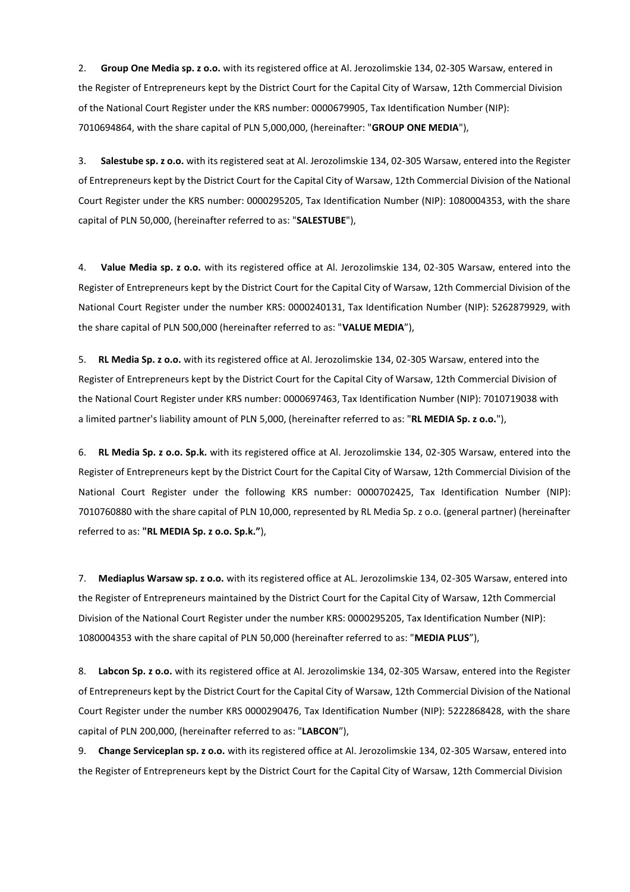2. **Group One Media sp. z o.o.** with its registered office at Al. Jerozolimskie 134, 02-305 Warsaw, entered in the Register of Entrepreneurs kept by the District Court for the Capital City of Warsaw, 12th Commercial Division of the National Court Register under the KRS number: 0000679905, Tax Identification Number (NIP): 7010694864, with the share capital of PLN 5,000,000, (hereinafter: "**GROUP ONE MEDIA**"),

3. **Salestube sp. z o.o.** with its registered seat at Al. Jerozolimskie 134, 02-305 Warsaw, entered into the Register of Entrepreneurs kept by the District Court for the Capital City of Warsaw, 12th Commercial Division of the National Court Register under the KRS number: 0000295205, Tax Identification Number (NIP): 1080004353, with the share capital of PLN 50,000, (hereinafter referred to as: "**SALESTUBE**"),

4. **Value Media sp. z o.o.** with its registered office at Al. Jerozolimskie 134, 02-305 Warsaw, entered into the Register of Entrepreneurs kept by the District Court for the Capital City of Warsaw, 12th Commercial Division of the National Court Register under the number KRS: 0000240131, Tax Identification Number (NIP): 5262879929, with the share capital of PLN 500,000 (hereinafter referred to as: "**VALUE MEDIA**"),

5. **RL Media Sp. z o.o.** with its registered office at Al. Jerozolimskie 134, 02-305 Warsaw, entered into the Register of Entrepreneurs kept by the District Court for the Capital City of Warsaw, 12th Commercial Division of the National Court Register under KRS number: 0000697463, Tax Identification Number (NIP): 7010719038 with a limited partner's liability amount of PLN 5,000, (hereinafter referred to as: "**RL MEDIA Sp. z o.o.**"),

6. **RL Media Sp. z o.o. Sp.k.** with its registered office at Al. Jerozolimskie 134, 02-305 Warsaw, entered into the Register of Entrepreneurs kept by the District Court for the Capital City of Warsaw, 12th Commercial Division of the National Court Register under the following KRS number: 0000702425, Tax Identification Number (NIP): 7010760880 with the share capital of PLN 10,000, represented by RL Media Sp. z o.o. (general partner) (hereinafter referred to as: **"RL MEDIA Sp. z o.o. Sp.k."**),

7. **Mediaplus Warsaw sp. z o.o.** with its registered office at AL. Jerozolimskie 134, 02-305 Warsaw, entered into the Register of Entrepreneurs maintained by the District Court for the Capital City of Warsaw, 12th Commercial Division of the National Court Register under the number KRS: 0000295205, Tax Identification Number (NIP): 1080004353 with the share capital of PLN 50,000 (hereinafter referred to as: "**MEDIA PLUS**"),

8. **Labcon Sp. z o.o.** with its registered office at Al. Jerozolimskie 134, 02-305 Warsaw, entered into the Register of Entrepreneurs kept by the District Court for the Capital City of Warsaw, 12th Commercial Division of the National Court Register under the number KRS 0000290476, Tax Identification Number (NIP): 5222868428, with the share capital of PLN 200,000, (hereinafter referred to as: "**LABCON**"),

9. **Change Serviceplan sp. z o.o.** with its registered office at Al. Jerozolimskie 134, 02-305 Warsaw, entered into the Register of Entrepreneurs kept by the District Court for the Capital City of Warsaw, 12th Commercial Division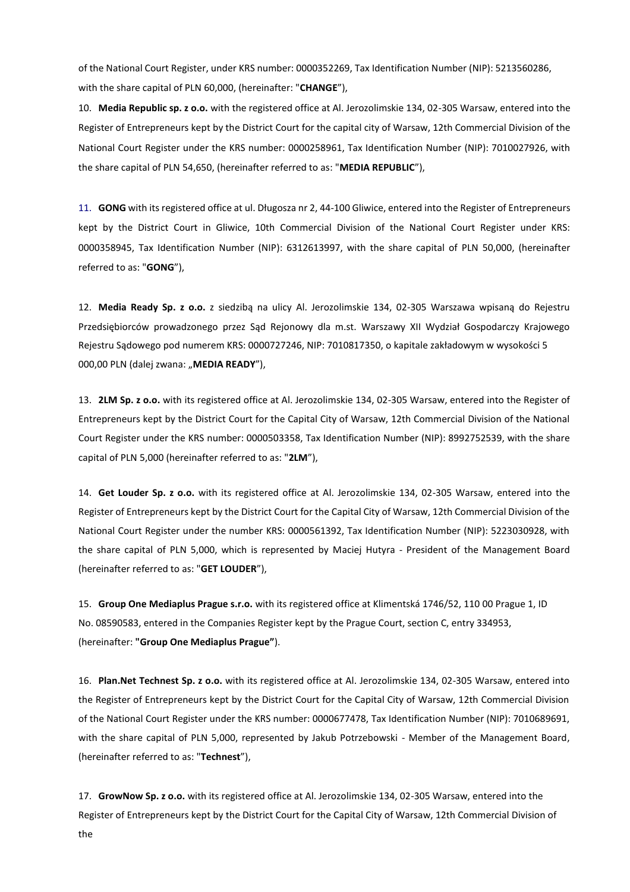of the National Court Register, under KRS number: 0000352269, Tax Identification Number (NIP): 5213560286, with the share capital of PLN 60,000, (hereinafter: "**CHANGE**"),

10. **Media Republic sp. z o.o.** with the registered office at Al. Jerozolimskie 134, 02-305 Warsaw, entered into the Register of Entrepreneurs kept by the District Court for the capital city of Warsaw, 12th Commercial Division of the National Court Register under the KRS number: 0000258961, Tax Identification Number (NIP): 7010027926, with the share capital of PLN 54,650, (hereinafter referred to as: "**MEDIA REPUBLIC**"),

11. **GONG** with its registered office at ul. Długosza nr 2, 44-100 Gliwice, entered into the Register of Entrepreneurs kept by the District Court in Gliwice, 10th Commercial Division of the National Court Register under KRS: 0000358945, Tax Identification Number (NIP): 6312613997, with the share capital of PLN 50,000, (hereinafter referred to as: "**GONG**"),

12. **Media Ready Sp. z o.o.** z siedzibą na ulicy Al. Jerozolimskie 134, 02-305 Warszawa wpisaną do Rejestru Przedsiębiorców prowadzonego przez Sąd Rejonowy dla m.st. Warszawy XII Wydział Gospodarczy Krajowego Rejestru Sądowego pod numerem KRS: 0000727246, NIP: 7010817350, o kapitale zakładowym w wysokości 5 000,00 PLN (dalej zwana: "MEDIA READY"),

13. **2LM Sp. z o.o.** with its registered office at Al. Jerozolimskie 134, 02-305 Warsaw, entered into the Register of Entrepreneurs kept by the District Court for the Capital City of Warsaw, 12th Commercial Division of the National Court Register under the KRS number: 0000503358, Tax Identification Number (NIP): 8992752539, with the share capital of PLN 5,000 (hereinafter referred to as: "**2LM**"),

14. **Get Louder Sp. z o.o.** with its registered office at Al. Jerozolimskie 134, 02-305 Warsaw, entered into the Register of Entrepreneurs kept by the District Court for the Capital City of Warsaw, 12th Commercial Division of the National Court Register under the number KRS: 0000561392, Tax Identification Number (NIP): 5223030928, with the share capital of PLN 5,000, which is represented by Maciej Hutyra - President of the Management Board (hereinafter referred to as: "**GET LOUDER**"),

15. **Group One Mediaplus Prague s.r.o.** with its registered office at Klimentská 1746/52, 110 00 Prague 1, ID No. 08590583, entered in the Companies Register kept by the Prague Court, section C, entry 334953, (hereinafter: **"Group One Mediaplus Prague"**).

16. **Plan.Net Technest Sp. z o.o.** with its registered office at Al. Jerozolimskie 134, 02-305 Warsaw, entered into the Register of Entrepreneurs kept by the District Court for the Capital City of Warsaw, 12th Commercial Division of the National Court Register under the KRS number: 0000677478, Tax Identification Number (NIP): 7010689691, with the share capital of PLN 5,000, represented by Jakub Potrzebowski - Member of the Management Board, (hereinafter referred to as: "**Technest**"),

17. **GrowNow Sp. z o.o.** with its registered office at Al. Jerozolimskie 134, 02-305 Warsaw, entered into the Register of Entrepreneurs kept by the District Court for the Capital City of Warsaw, 12th Commercial Division of the